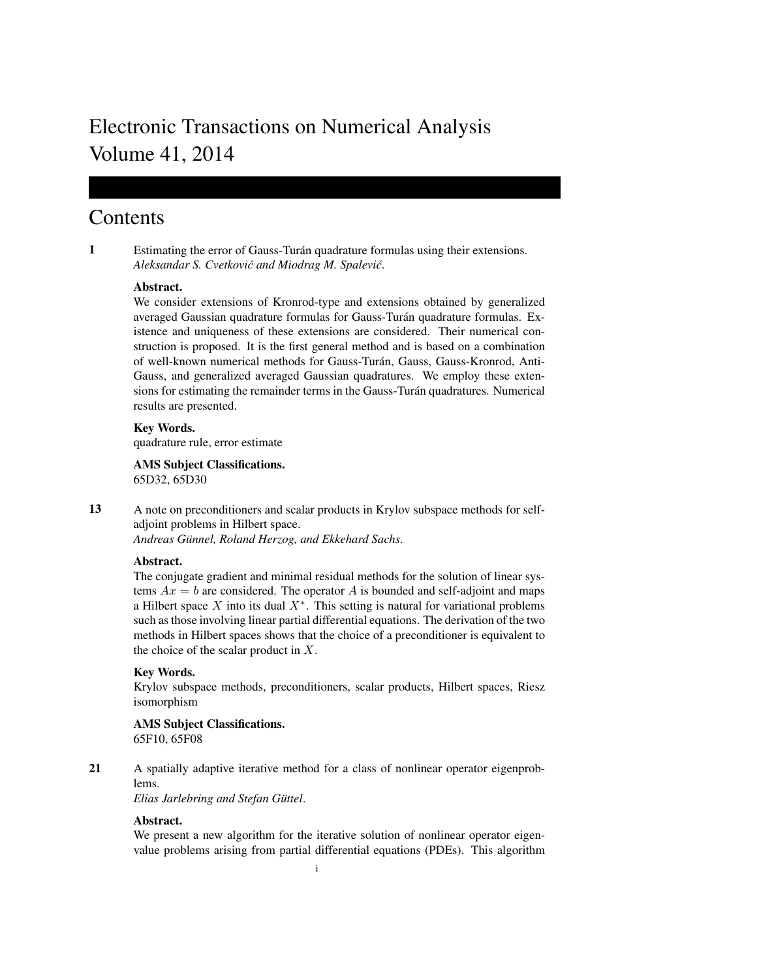# Electronic Transactions on Numerical Analysis Volume 41, 2014

## **Contents**

1 Estimating the error of Gauss-Turan quadrature formulas using their extensions. ´ *Aleksandar S. Cvetković and Miodrag M. Spalević.* 

## Abstract.

We consider extensions of Kronrod-type and extensions obtained by generalized averaged Gaussian quadrature formulas for Gauss-Turán quadrature formulas. Existence and uniqueness of these extensions are considered. Their numerical construction is proposed. It is the first general method and is based on a combination of well-known numerical methods for Gauss-Turán, Gauss, Gauss-Kronrod, Anti-Gauss, and generalized averaged Gaussian quadratures. We employ these extensions for estimating the remainder terms in the Gauss-Turán quadratures. Numerical results are presented.

Key Words. quadrature rule, error estimate

AMS Subject Classifications. 65D32, 65D30

13 A note on preconditioners and scalar products in Krylov subspace methods for selfadjoint problems in Hilbert space.

*Andreas Gunnel, Roland Herzog, and Ekkehard Sachs ¨* .

## Abstract.

The conjugate gradient and minimal residual methods for the solution of linear systems  $Ax = b$  are considered. The operator A is bounded and self-adjoint and maps a Hilbert space  $X$  into its dual  $X^*$ . This setting is natural for variational problems such as those involving linear partial differential equations. The derivation of the two methods in Hilbert spaces shows that the choice of a preconditioner is equivalent to the choice of the scalar product in  $X$ .

## Key Words.

Krylov subspace methods, preconditioners, scalar products, Hilbert spaces, Riesz isomorphism

AMS Subject Classifications. 65F10, 65F08

21 A spatially adaptive iterative method for a class of nonlinear operator eigenproblems.

*Elias Jarlebring and Stefan Guttel ¨* .

## Abstract.

We present a new algorithm for the iterative solution of nonlinear operator eigenvalue problems arising from partial differential equations (PDEs). This algorithm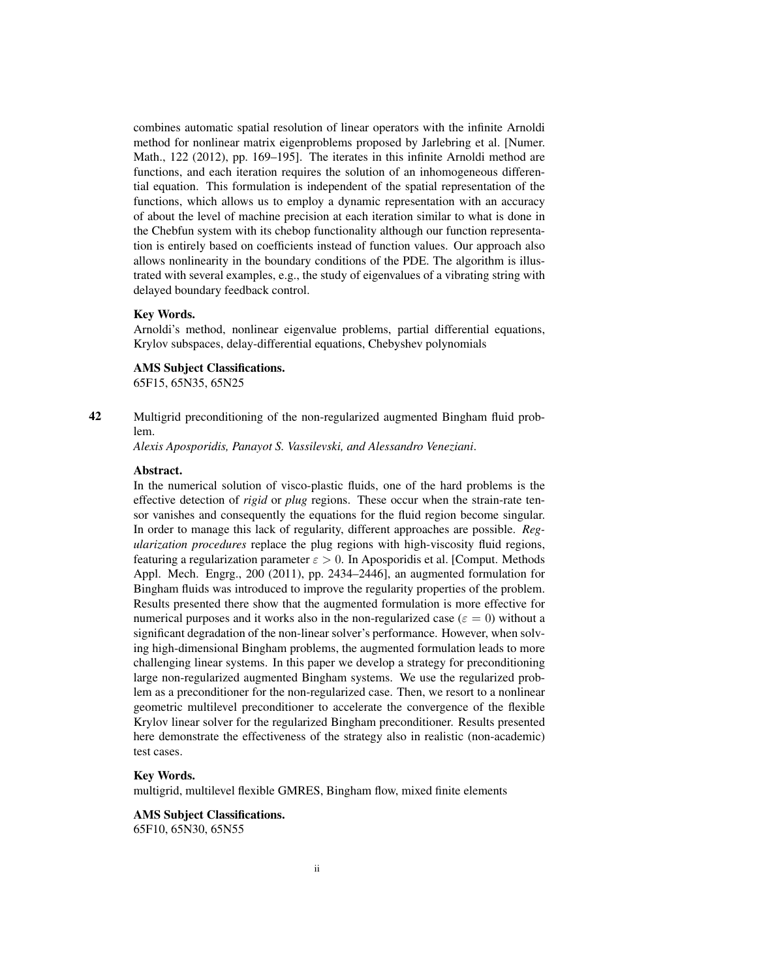combines automatic spatial resolution of linear operators with the infinite Arnoldi method for nonlinear matrix eigenproblems proposed by Jarlebring et al. [Numer. Math., 122 (2012), pp. 169–195]. The iterates in this infinite Arnoldi method are functions, and each iteration requires the solution of an inhomogeneous differential equation. This formulation is independent of the spatial representation of the functions, which allows us to employ a dynamic representation with an accuracy of about the level of machine precision at each iteration similar to what is done in the Chebfun system with its chebop functionality although our function representation is entirely based on coefficients instead of function values. Our approach also allows nonlinearity in the boundary conditions of the PDE. The algorithm is illustrated with several examples, e.g., the study of eigenvalues of a vibrating string with delayed boundary feedback control.

#### Key Words.

Arnoldi's method, nonlinear eigenvalue problems, partial differential equations, Krylov subspaces, delay-differential equations, Chebyshev polynomials

AMS Subject Classifications.

65F15, 65N35, 65N25

42 Multigrid preconditioning of the non-regularized augmented Bingham fluid problem.

*Alexis Aposporidis, Panayot S. Vassilevski, and Alessandro Veneziani*.

#### Abstract.

In the numerical solution of visco-plastic fluids, one of the hard problems is the effective detection of *rigid* or *plug* regions. These occur when the strain-rate tensor vanishes and consequently the equations for the fluid region become singular. In order to manage this lack of regularity, different approaches are possible. *Regularization procedures* replace the plug regions with high-viscosity fluid regions, featuring a regularization parameter  $\varepsilon > 0$ . In Aposporidis et al. [Comput. Methods Appl. Mech. Engrg., 200 (2011), pp. 2434–2446], an augmented formulation for Bingham fluids was introduced to improve the regularity properties of the problem. Results presented there show that the augmented formulation is more effective for numerical purposes and it works also in the non-regularized case ( $\varepsilon = 0$ ) without a significant degradation of the non-linear solver's performance. However, when solving high-dimensional Bingham problems, the augmented formulation leads to more challenging linear systems. In this paper we develop a strategy for preconditioning large non-regularized augmented Bingham systems. We use the regularized problem as a preconditioner for the non-regularized case. Then, we resort to a nonlinear geometric multilevel preconditioner to accelerate the convergence of the flexible Krylov linear solver for the regularized Bingham preconditioner. Results presented here demonstrate the effectiveness of the strategy also in realistic (non-academic) test cases.

#### Key Words.

multigrid, multilevel flexible GMRES, Bingham flow, mixed finite elements

#### AMS Subject Classifications.

65F10, 65N30, 65N55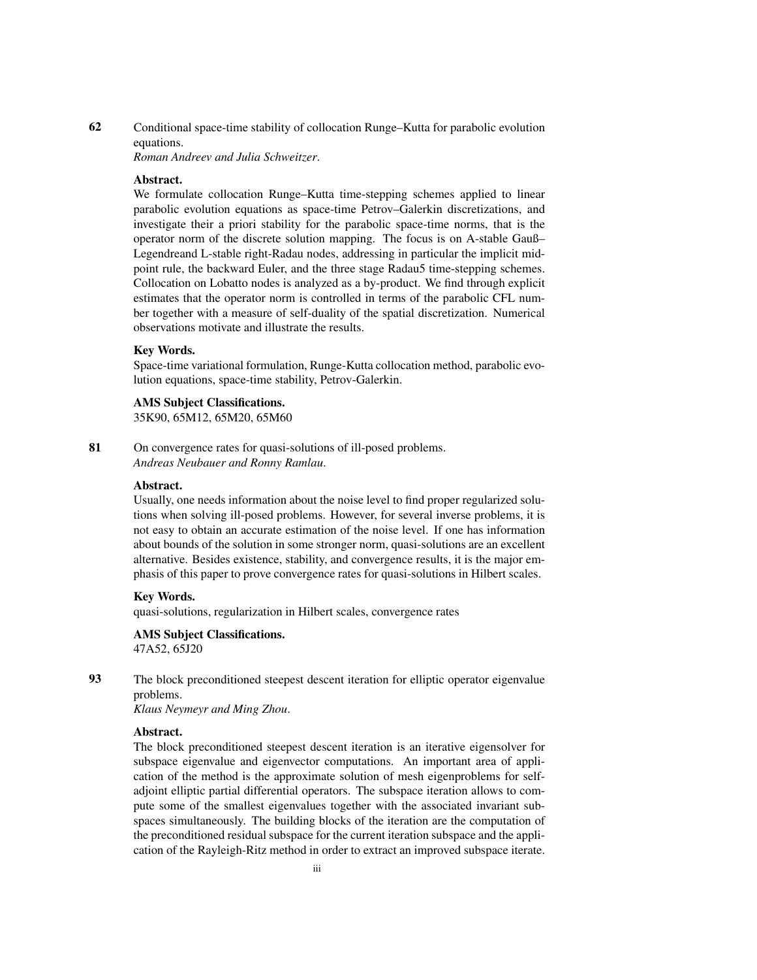## 62 Conditional space-time stability of collocation Runge–Kutta for parabolic evolution equations.

*Roman Andreev and Julia Schweitzer*.

#### Abstract.

We formulate collocation Runge–Kutta time-stepping schemes applied to linear parabolic evolution equations as space-time Petrov–Galerkin discretizations, and investigate their a priori stability for the parabolic space-time norms, that is the operator norm of the discrete solution mapping. The focus is on A-stable Gauß– Legendreand L-stable right-Radau nodes, addressing in particular the implicit midpoint rule, the backward Euler, and the three stage Radau5 time-stepping schemes. Collocation on Lobatto nodes is analyzed as a by-product. We find through explicit estimates that the operator norm is controlled in terms of the parabolic CFL number together with a measure of self-duality of the spatial discretization. Numerical observations motivate and illustrate the results.

#### Key Words.

Space-time variational formulation, Runge-Kutta collocation method, parabolic evolution equations, space-time stability, Petrov-Galerkin.

#### AMS Subject Classifications.

35K90, 65M12, 65M20, 65M60

81 On convergence rates for quasi-solutions of ill-posed problems. *Andreas Neubauer and Ronny Ramlau*.

#### Abstract.

Usually, one needs information about the noise level to find proper regularized solutions when solving ill-posed problems. However, for several inverse problems, it is not easy to obtain an accurate estimation of the noise level. If one has information about bounds of the solution in some stronger norm, quasi-solutions are an excellent alternative. Besides existence, stability, and convergence results, it is the major emphasis of this paper to prove convergence rates for quasi-solutions in Hilbert scales.

#### Key Words.

quasi-solutions, regularization in Hilbert scales, convergence rates

## AMS Subject Classifications.

47A52, 65J20

93 The block preconditioned steepest descent iteration for elliptic operator eigenvalue problems.

*Klaus Neymeyr and Ming Zhou*.

#### Abstract.

The block preconditioned steepest descent iteration is an iterative eigensolver for subspace eigenvalue and eigenvector computations. An important area of application of the method is the approximate solution of mesh eigenproblems for selfadjoint elliptic partial differential operators. The subspace iteration allows to compute some of the smallest eigenvalues together with the associated invariant subspaces simultaneously. The building blocks of the iteration are the computation of the preconditioned residual subspace for the current iteration subspace and the application of the Rayleigh-Ritz method in order to extract an improved subspace iterate.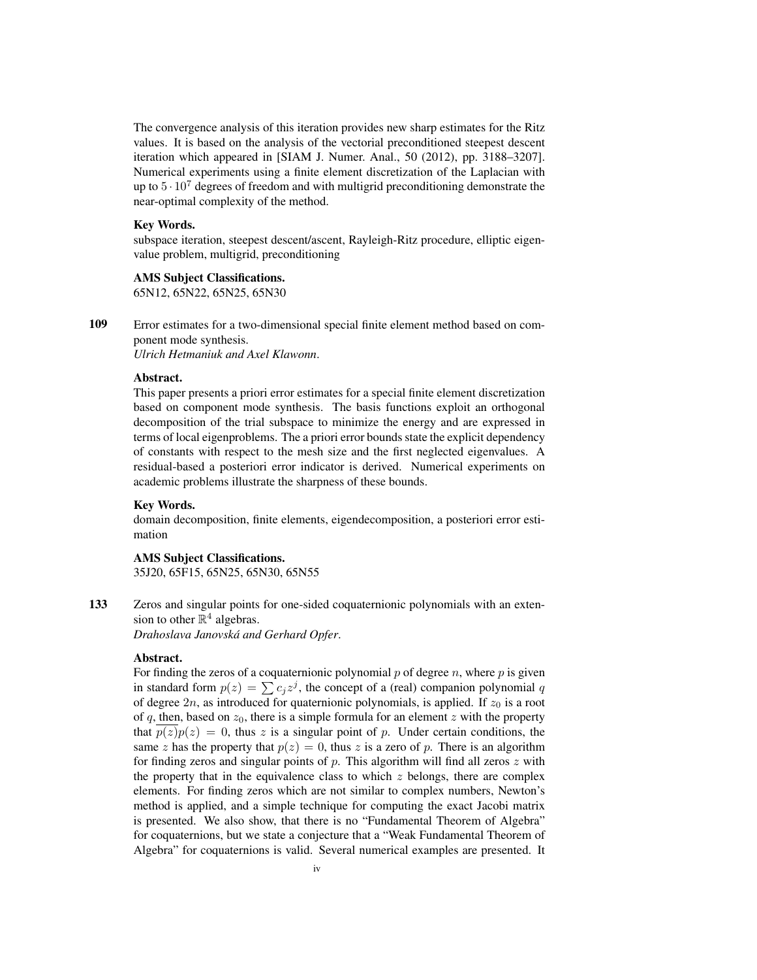The convergence analysis of this iteration provides new sharp estimates for the Ritz values. It is based on the analysis of the vectorial preconditioned steepest descent iteration which appeared in [SIAM J. Numer. Anal., 50 (2012), pp. 3188–3207]. Numerical experiments using a finite element discretization of the Laplacian with up to  $5 \cdot 10^7$  degrees of freedom and with multigrid preconditioning demonstrate the near-optimal complexity of the method.

## Key Words.

subspace iteration, steepest descent/ascent, Rayleigh-Ritz procedure, elliptic eigenvalue problem, multigrid, preconditioning

## AMS Subject Classifications.

65N12, 65N22, 65N25, 65N30

109 Error estimates for a two-dimensional special finite element method based on component mode synthesis.

*Ulrich Hetmaniuk and Axel Klawonn*.

#### Abstract.

This paper presents a priori error estimates for a special finite element discretization based on component mode synthesis. The basis functions exploit an orthogonal decomposition of the trial subspace to minimize the energy and are expressed in terms of local eigenproblems. The a priori error bounds state the explicit dependency of constants with respect to the mesh size and the first neglected eigenvalues. A residual-based a posteriori error indicator is derived. Numerical experiments on academic problems illustrate the sharpness of these bounds.

#### Key Words.

domain decomposition, finite elements, eigendecomposition, a posteriori error estimation

## AMS Subject Classifications.

35J20, 65F15, 65N25, 65N30, 65N55

133 Zeros and singular points for one-sided coquaternionic polynomials with an extension to other  $\mathbb{R}^4$  algebras.

*Drahoslava Janovska and Gerhard Opfer ´* .

#### Abstract.

For finding the zeros of a coquaternionic polynomial  $p$  of degree  $n$ , where  $p$  is given in standard form  $p(z) = \sum c_j z^j$ , the concept of a (real) companion polynomial q of degree  $2n$ , as introduced for quaternionic polynomials, is applied. If  $z_0$  is a root of q, then, based on  $z_0$ , there is a simple formula for an element z with the property that  $p(z)p(z) = 0$ , thus z is a singular point of p. Under certain conditions, the same z has the property that  $p(z) = 0$ , thus z is a zero of p. There is an algorithm for finding zeros and singular points of  $p$ . This algorithm will find all zeros  $z$  with the property that in the equivalence class to which  $z$  belongs, there are complex elements. For finding zeros which are not similar to complex numbers, Newton's method is applied, and a simple technique for computing the exact Jacobi matrix is presented. We also show, that there is no "Fundamental Theorem of Algebra" for coquaternions, but we state a conjecture that a "Weak Fundamental Theorem of Algebra" for coquaternions is valid. Several numerical examples are presented. It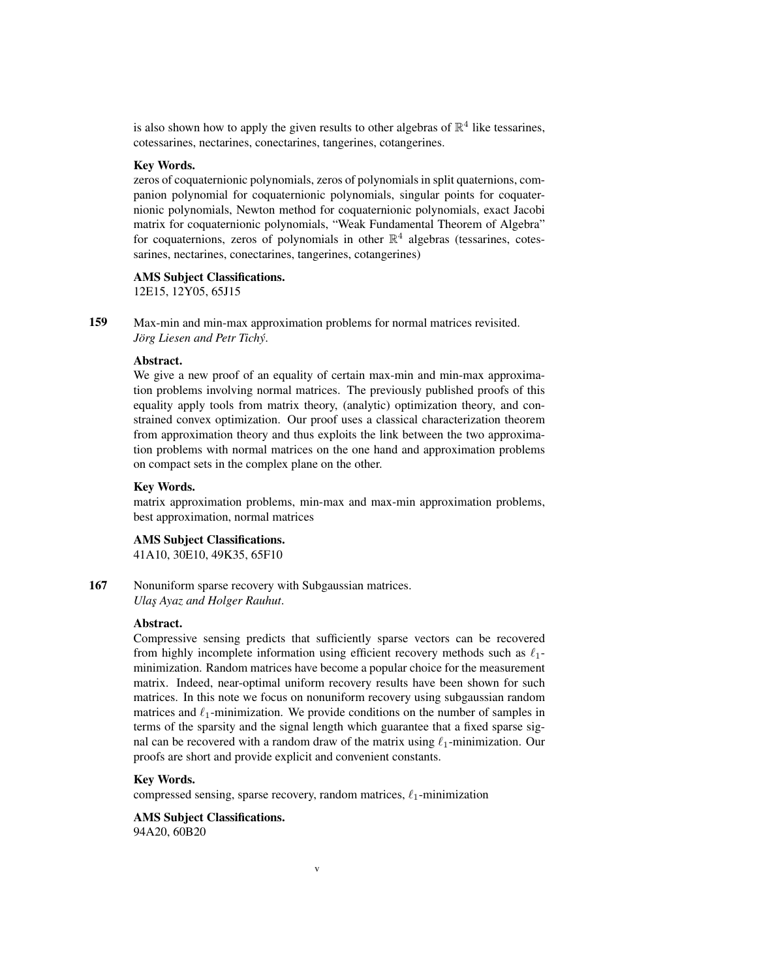is also shown how to apply the given results to other algebras of  $\mathbb{R}^4$  like tessarines, cotessarines, nectarines, conectarines, tangerines, cotangerines.

## Key Words.

zeros of coquaternionic polynomials, zeros of polynomials in split quaternions, companion polynomial for coquaternionic polynomials, singular points for coquaternionic polynomials, Newton method for coquaternionic polynomials, exact Jacobi matrix for coquaternionic polynomials, "Weak Fundamental Theorem of Algebra" for coquaternions, zeros of polynomials in other  $\mathbb{R}^4$  algebras (tessarines, cotessarines, nectarines, conectarines, tangerines, cotangerines)

#### AMS Subject Classifications.

12E15, 12Y05, 65J15

159 Max-min and min-max approximation problems for normal matrices revisited. *Jörg Liesen and Petr Tichý.* 

## Abstract.

We give a new proof of an equality of certain max-min and min-max approximation problems involving normal matrices. The previously published proofs of this equality apply tools from matrix theory, (analytic) optimization theory, and constrained convex optimization. Our proof uses a classical characterization theorem from approximation theory and thus exploits the link between the two approximation problems with normal matrices on the one hand and approximation problems on compact sets in the complex plane on the other.

#### Key Words.

matrix approximation problems, min-max and max-min approximation problems, best approximation, normal matrices

## AMS Subject Classifications.

41A10, 30E10, 49K35, 65F10

167 Nonuniform sparse recovery with Subgaussian matrices. *Ulas¸ Ayaz and Holger Rauhut*.

#### Abstract.

Compressive sensing predicts that sufficiently sparse vectors can be recovered from highly incomplete information using efficient recovery methods such as  $\ell_1$ minimization. Random matrices have become a popular choice for the measurement matrix. Indeed, near-optimal uniform recovery results have been shown for such matrices. In this note we focus on nonuniform recovery using subgaussian random matrices and  $\ell_1$ -minimization. We provide conditions on the number of samples in terms of the sparsity and the signal length which guarantee that a fixed sparse signal can be recovered with a random draw of the matrix using  $\ell_1$ -minimization. Our proofs are short and provide explicit and convenient constants.

#### Key Words.

compressed sensing, sparse recovery, random matrices,  $\ell_1$ -minimization

v

## AMS Subject Classifications.

94A20, 60B20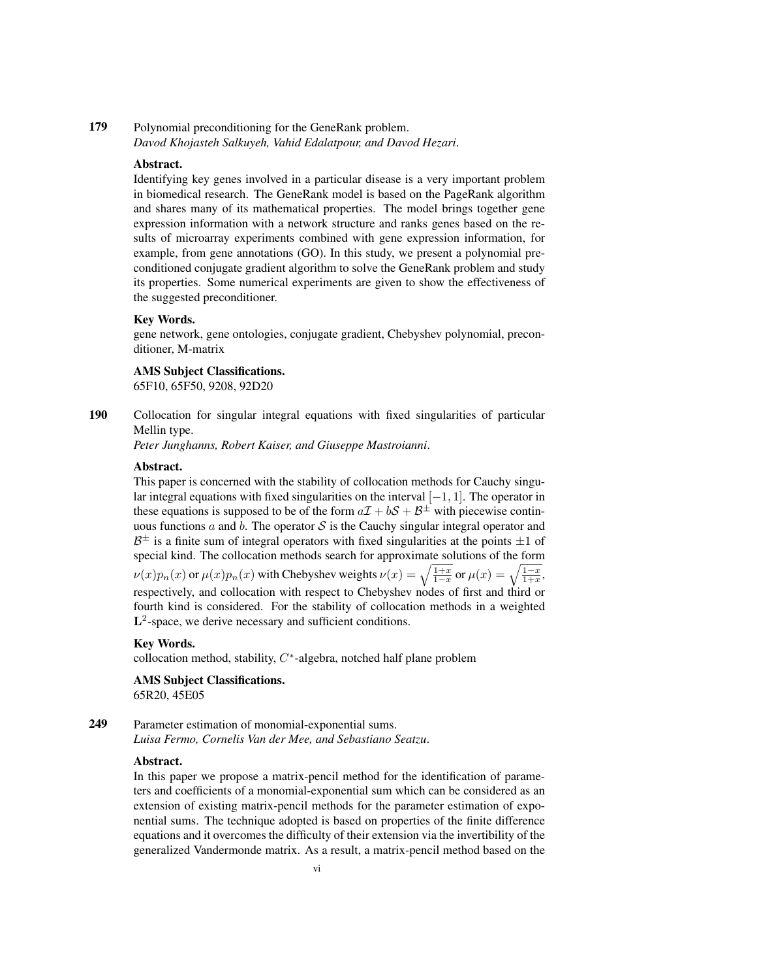## 179 Polynomial preconditioning for the GeneRank problem. *Davod Khojasteh Salkuyeh, Vahid Edalatpour, and Davod Hezari*.

## Abstract.

Identifying key genes involved in a particular disease is a very important problem in biomedical research. The GeneRank model is based on the PageRank algorithm and shares many of its mathematical properties. The model brings together gene expression information with a network structure and ranks genes based on the results of microarray experiments combined with gene expression information, for example, from gene annotations (GO). In this study, we present a polynomial preconditioned conjugate gradient algorithm to solve the GeneRank problem and study its properties. Some numerical experiments are given to show the effectiveness of the suggested preconditioner.

#### Key Words.

gene network, gene ontologies, conjugate gradient, Chebyshev polynomial, preconditioner, M-matrix

#### AMS Subject Classifications.

65F10, 65F50, 9208, 92D20

190 Collocation for singular integral equations with fixed singularities of particular Mellin type.

*Peter Junghanns, Robert Kaiser, and Giuseppe Mastroianni*.

#### Abstract.

This paper is concerned with the stability of collocation methods for Cauchy singular integral equations with fixed singularities on the interval [−1, 1]. The operator in these equations is supposed to be of the form  $a\mathcal{I} + b\mathcal{S} + \mathcal{B}^{\pm}$  with piecewise continuous functions a and b. The operator  $S$  is the Cauchy singular integral operator and  $B^{\pm}$  is a finite sum of integral operators with fixed singularities at the points  $\pm 1$  of special kind. The collocation methods search for approximate solutions of the form  $\nu(x)p_n(x)$  or  $\mu(x)p_n(x)$  with Chebyshev weights  $\nu(x) = \sqrt{\frac{1+x}{1-x}}$  or  $\mu(x) = \sqrt{\frac{1-x}{1+x}}$ . respectively, and collocation with respect to Chebyshev nodes of first and third or fourth kind is considered. For the stability of collocation methods in a weighted L<sup>2</sup>-space, we derive necessary and sufficient conditions.

#### Key Words.

collocation method, stability,  $C^*$ -algebra, notched half plane problem

AMS Subject Classifications. 65R20, 45E05

249 Parameter estimation of monomial-exponential sums. *Luisa Fermo, Cornelis Van der Mee, and Sebastiano Seatzu*.

## Abstract.

In this paper we propose a matrix-pencil method for the identification of parameters and coefficients of a monomial-exponential sum which can be considered as an extension of existing matrix-pencil methods for the parameter estimation of exponential sums. The technique adopted is based on properties of the finite difference equations and it overcomes the difficulty of their extension via the invertibility of the generalized Vandermonde matrix. As a result, a matrix-pencil method based on the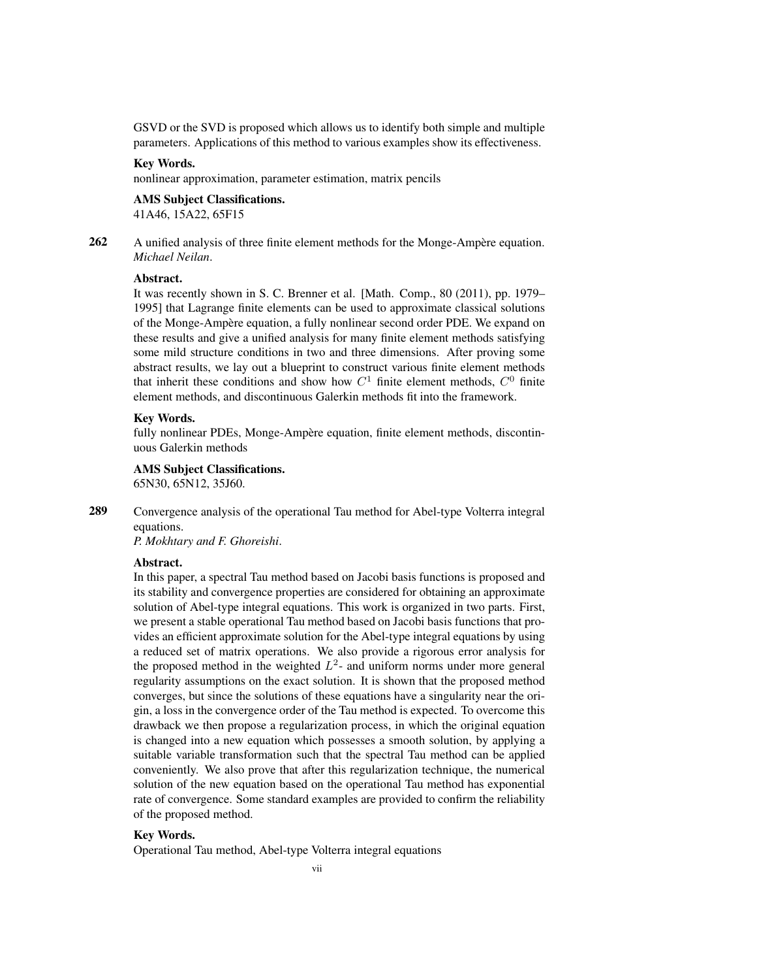GSVD or the SVD is proposed which allows us to identify both simple and multiple parameters. Applications of this method to various examples show its effectiveness.

## Key Words.

nonlinear approximation, parameter estimation, matrix pencils

## AMS Subject Classifications.

41A46, 15A22, 65F15

262 A unified analysis of three finite element methods for the Monge-Ampère equation. *Michael Neilan*.

## Abstract.

It was recently shown in S. C. Brenner et al. [Math. Comp., 80 (2011), pp. 1979– 1995] that Lagrange finite elements can be used to approximate classical solutions of the Monge-Ampere equation, a fully nonlinear second order PDE. We expand on ` these results and give a unified analysis for many finite element methods satisfying some mild structure conditions in two and three dimensions. After proving some abstract results, we lay out a blueprint to construct various finite element methods that inherit these conditions and show how  $C^1$  finite element methods,  $C^0$  finite element methods, and discontinuous Galerkin methods fit into the framework.

#### Key Words.

fully nonlinear PDEs, Monge-Ampère equation, finite element methods, discontinuous Galerkin methods

#### AMS Subject Classifications.

65N30, 65N12, 35J60.

289 Convergence analysis of the operational Tau method for Abel-type Volterra integral equations.

*P. Mokhtary and F. Ghoreishi*.

#### Abstract.

In this paper, a spectral Tau method based on Jacobi basis functions is proposed and its stability and convergence properties are considered for obtaining an approximate solution of Abel-type integral equations. This work is organized in two parts. First, we present a stable operational Tau method based on Jacobi basis functions that provides an efficient approximate solution for the Abel-type integral equations by using a reduced set of matrix operations. We also provide a rigorous error analysis for the proposed method in the weighted  $L^2$ - and uniform norms under more general regularity assumptions on the exact solution. It is shown that the proposed method converges, but since the solutions of these equations have a singularity near the origin, a loss in the convergence order of the Tau method is expected. To overcome this drawback we then propose a regularization process, in which the original equation is changed into a new equation which possesses a smooth solution, by applying a suitable variable transformation such that the spectral Tau method can be applied conveniently. We also prove that after this regularization technique, the numerical solution of the new equation based on the operational Tau method has exponential rate of convergence. Some standard examples are provided to confirm the reliability of the proposed method.

#### Key Words.

Operational Tau method, Abel-type Volterra integral equations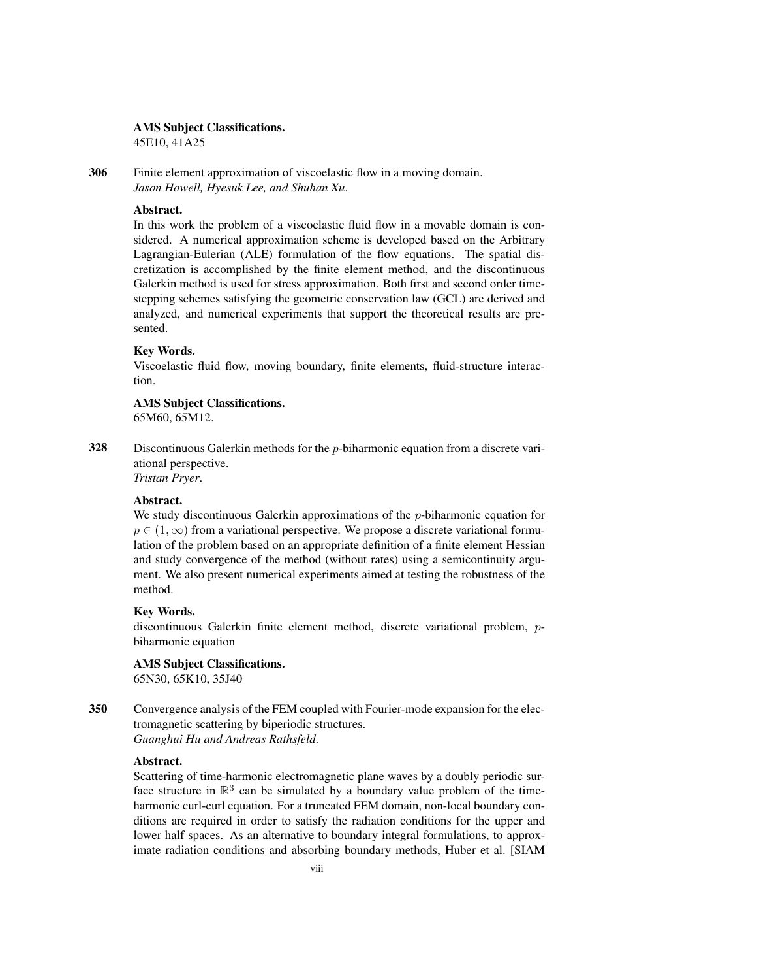## AMS Subject Classifications.

45E10, 41A25

306 Finite element approximation of viscoelastic flow in a moving domain. *Jason Howell, Hyesuk Lee, and Shuhan Xu*.

#### Abstract.

In this work the problem of a viscoelastic fluid flow in a movable domain is considered. A numerical approximation scheme is developed based on the Arbitrary Lagrangian-Eulerian (ALE) formulation of the flow equations. The spatial discretization is accomplished by the finite element method, and the discontinuous Galerkin method is used for stress approximation. Both first and second order timestepping schemes satisfying the geometric conservation law (GCL) are derived and analyzed, and numerical experiments that support the theoretical results are presented.

## Key Words.

Viscoelastic fluid flow, moving boundary, finite elements, fluid-structure interaction.

AMS Subject Classifications. 65M60, 65M12.

328 Discontinuous Galerkin methods for the p-biharmonic equation from a discrete variational perspective. *Tristan Pryer*.

#### Abstract.

We study discontinuous Galerkin approximations of the  $p$ -biharmonic equation for  $p \in (1,\infty)$  from a variational perspective. We propose a discrete variational formulation of the problem based on an appropriate definition of a finite element Hessian and study convergence of the method (without rates) using a semicontinuity argument. We also present numerical experiments aimed at testing the robustness of the method.

## Key Words.

discontinuous Galerkin finite element method, discrete variational problem, pbiharmonic equation

AMS Subject Classifications. 65N30, 65K10, 35J40

350 Convergence analysis of the FEM coupled with Fourier-mode expansion for the electromagnetic scattering by biperiodic structures. *Guanghui Hu and Andreas Rathsfeld*.

#### Abstract.

Scattering of time-harmonic electromagnetic plane waves by a doubly periodic surface structure in  $\mathbb{R}^3$  can be simulated by a boundary value problem of the timeharmonic curl-curl equation. For a truncated FEM domain, non-local boundary conditions are required in order to satisfy the radiation conditions for the upper and lower half spaces. As an alternative to boundary integral formulations, to approximate radiation conditions and absorbing boundary methods, Huber et al. [SIAM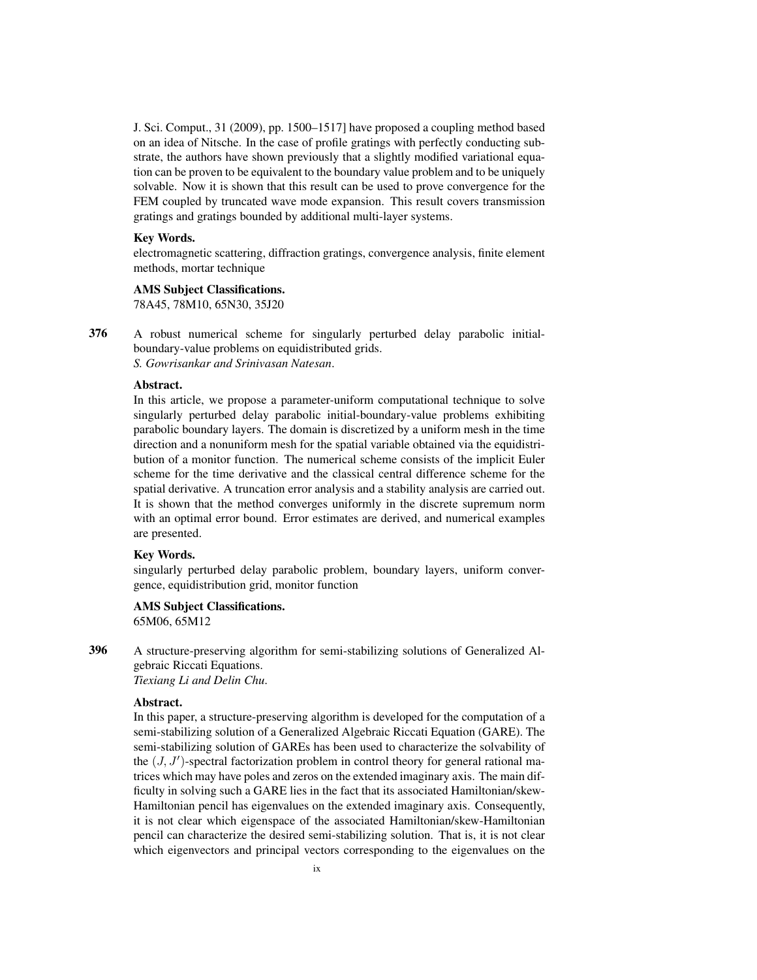J. Sci. Comput., 31 (2009), pp. 1500–1517] have proposed a coupling method based on an idea of Nitsche. In the case of profile gratings with perfectly conducting substrate, the authors have shown previously that a slightly modified variational equation can be proven to be equivalent to the boundary value problem and to be uniquely solvable. Now it is shown that this result can be used to prove convergence for the FEM coupled by truncated wave mode expansion. This result covers transmission gratings and gratings bounded by additional multi-layer systems.

#### Key Words.

electromagnetic scattering, diffraction gratings, convergence analysis, finite element methods, mortar technique

## AMS Subject Classifications.

78A45, 78M10, 65N30, 35J20

376 A robust numerical scheme for singularly perturbed delay parabolic initialboundary-value problems on equidistributed grids. *S. Gowrisankar and Srinivasan Natesan*.

## Abstract.

In this article, we propose a parameter-uniform computational technique to solve singularly perturbed delay parabolic initial-boundary-value problems exhibiting parabolic boundary layers. The domain is discretized by a uniform mesh in the time direction and a nonuniform mesh for the spatial variable obtained via the equidistribution of a monitor function. The numerical scheme consists of the implicit Euler scheme for the time derivative and the classical central difference scheme for the spatial derivative. A truncation error analysis and a stability analysis are carried out. It is shown that the method converges uniformly in the discrete supremum norm with an optimal error bound. Error estimates are derived, and numerical examples are presented.

## Key Words.

singularly perturbed delay parabolic problem, boundary layers, uniform convergence, equidistribution grid, monitor function

AMS Subject Classifications. 65M06, 65M12

396 A structure-preserving algorithm for semi-stabilizing solutions of Generalized Algebraic Riccati Equations. *Tiexiang Li and Delin Chu*.

#### Abstract.

In this paper, a structure-preserving algorithm is developed for the computation of a semi-stabilizing solution of a Generalized Algebraic Riccati Equation (GARE). The semi-stabilizing solution of GAREs has been used to characterize the solvability of the  $(J, J')$ -spectral factorization problem in control theory for general rational matrices which may have poles and zeros on the extended imaginary axis. The main difficulty in solving such a GARE lies in the fact that its associated Hamiltonian/skew-Hamiltonian pencil has eigenvalues on the extended imaginary axis. Consequently, it is not clear which eigenspace of the associated Hamiltonian/skew-Hamiltonian pencil can characterize the desired semi-stabilizing solution. That is, it is not clear which eigenvectors and principal vectors corresponding to the eigenvalues on the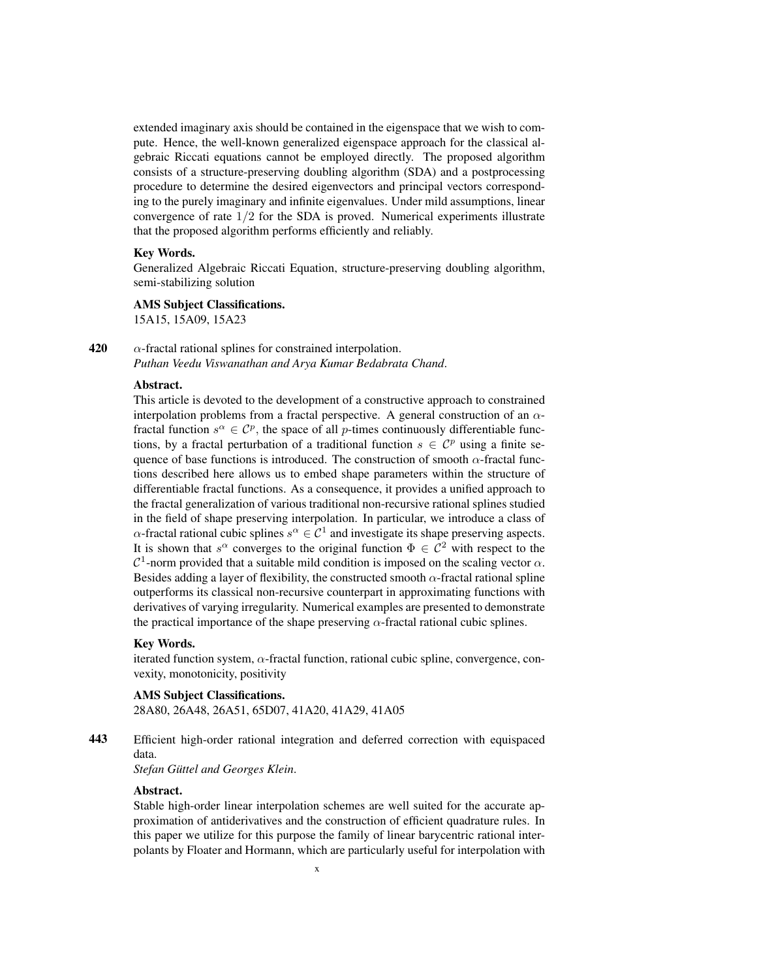extended imaginary axis should be contained in the eigenspace that we wish to compute. Hence, the well-known generalized eigenspace approach for the classical algebraic Riccati equations cannot be employed directly. The proposed algorithm consists of a structure-preserving doubling algorithm (SDA) and a postprocessing procedure to determine the desired eigenvectors and principal vectors corresponding to the purely imaginary and infinite eigenvalues. Under mild assumptions, linear convergence of rate  $1/2$  for the SDA is proved. Numerical experiments illustrate that the proposed algorithm performs efficiently and reliably.

#### Key Words.

Generalized Algebraic Riccati Equation, structure-preserving doubling algorithm, semi-stabilizing solution

#### AMS Subject Classifications.

15A15, 15A09, 15A23

420  $\alpha$ -fractal rational splines for constrained interpolation. *Puthan Veedu Viswanathan and Arya Kumar Bedabrata Chand*.

#### Abstract.

This article is devoted to the development of a constructive approach to constrained interpolation problems from a fractal perspective. A general construction of an  $\alpha$ fractal function  $s^{\alpha} \in C^p$ , the space of all p-times continuously differentiable functions, by a fractal perturbation of a traditional function  $s \in \mathcal{C}^p$  using a finite sequence of base functions is introduced. The construction of smooth  $\alpha$ -fractal functions described here allows us to embed shape parameters within the structure of differentiable fractal functions. As a consequence, it provides a unified approach to the fractal generalization of various traditional non-recursive rational splines studied in the field of shape preserving interpolation. In particular, we introduce a class of  $\alpha$ -fractal rational cubic splines  $s^{\alpha} \in C^1$  and investigate its shape preserving aspects. It is shown that  $s^{\alpha}$  converges to the original function  $\Phi \in C^2$  with respect to the  $\mathcal{C}^1$ -norm provided that a suitable mild condition is imposed on the scaling vector  $\alpha$ . Besides adding a layer of flexibility, the constructed smooth  $\alpha$ -fractal rational spline outperforms its classical non-recursive counterpart in approximating functions with derivatives of varying irregularity. Numerical examples are presented to demonstrate the practical importance of the shape preserving  $\alpha$ -fractal rational cubic splines.

#### Key Words.

iterated function system,  $\alpha$ -fractal function, rational cubic spline, convergence, convexity, monotonicity, positivity

#### AMS Subject Classifications.

28A80, 26A48, 26A51, 65D07, 41A20, 41A29, 41A05

443 Efficient high-order rational integration and deferred correction with equispaced data.

 $Stefan Güttel and Georges Klein.$ 

#### Abstract.

Stable high-order linear interpolation schemes are well suited for the accurate approximation of antiderivatives and the construction of efficient quadrature rules. In this paper we utilize for this purpose the family of linear barycentric rational interpolants by Floater and Hormann, which are particularly useful for interpolation with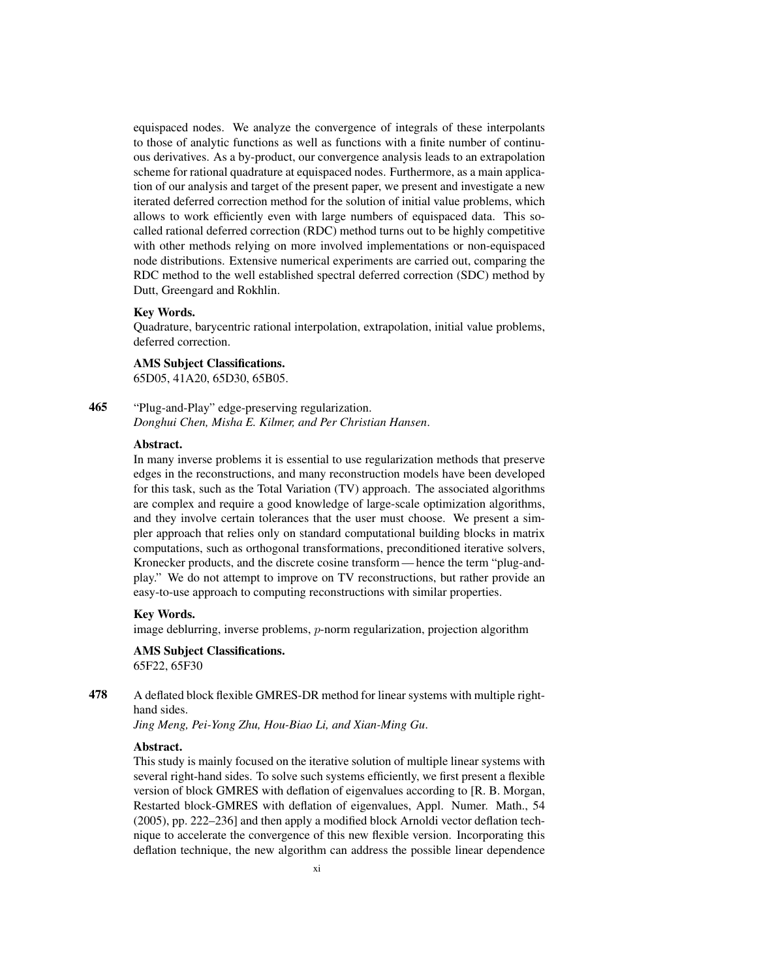equispaced nodes. We analyze the convergence of integrals of these interpolants to those of analytic functions as well as functions with a finite number of continuous derivatives. As a by-product, our convergence analysis leads to an extrapolation scheme for rational quadrature at equispaced nodes. Furthermore, as a main application of our analysis and target of the present paper, we present and investigate a new iterated deferred correction method for the solution of initial value problems, which allows to work efficiently even with large numbers of equispaced data. This socalled rational deferred correction (RDC) method turns out to be highly competitive with other methods relying on more involved implementations or non-equispaced node distributions. Extensive numerical experiments are carried out, comparing the RDC method to the well established spectral deferred correction (SDC) method by Dutt, Greengard and Rokhlin.

#### Key Words.

Quadrature, barycentric rational interpolation, extrapolation, initial value problems, deferred correction.

#### AMS Subject Classifications.

65D05, 41A20, 65D30, 65B05.

465 "Plug-and-Play" edge-preserving regularization. *Donghui Chen, Misha E. Kilmer, and Per Christian Hansen*.

#### Abstract.

In many inverse problems it is essential to use regularization methods that preserve edges in the reconstructions, and many reconstruction models have been developed for this task, such as the Total Variation (TV) approach. The associated algorithms are complex and require a good knowledge of large-scale optimization algorithms, and they involve certain tolerances that the user must choose. We present a simpler approach that relies only on standard computational building blocks in matrix computations, such as orthogonal transformations, preconditioned iterative solvers, Kronecker products, and the discrete cosine transform— hence the term "plug-andplay." We do not attempt to improve on TV reconstructions, but rather provide an easy-to-use approach to computing reconstructions with similar properties.

### Key Words.

image deblurring, inverse problems, p-norm regularization, projection algorithm

#### AMS Subject Classifications. 65F22, 65F30

478 A deflated block flexible GMRES-DR method for linear systems with multiple righthand sides.

*Jing Meng, Pei-Yong Zhu, Hou-Biao Li, and Xian-Ming Gu*.

#### Abstract.

This study is mainly focused on the iterative solution of multiple linear systems with several right-hand sides. To solve such systems efficiently, we first present a flexible version of block GMRES with deflation of eigenvalues according to [R. B. Morgan, Restarted block-GMRES with deflation of eigenvalues, Appl. Numer. Math., 54 (2005), pp. 222–236] and then apply a modified block Arnoldi vector deflation technique to accelerate the convergence of this new flexible version. Incorporating this deflation technique, the new algorithm can address the possible linear dependence